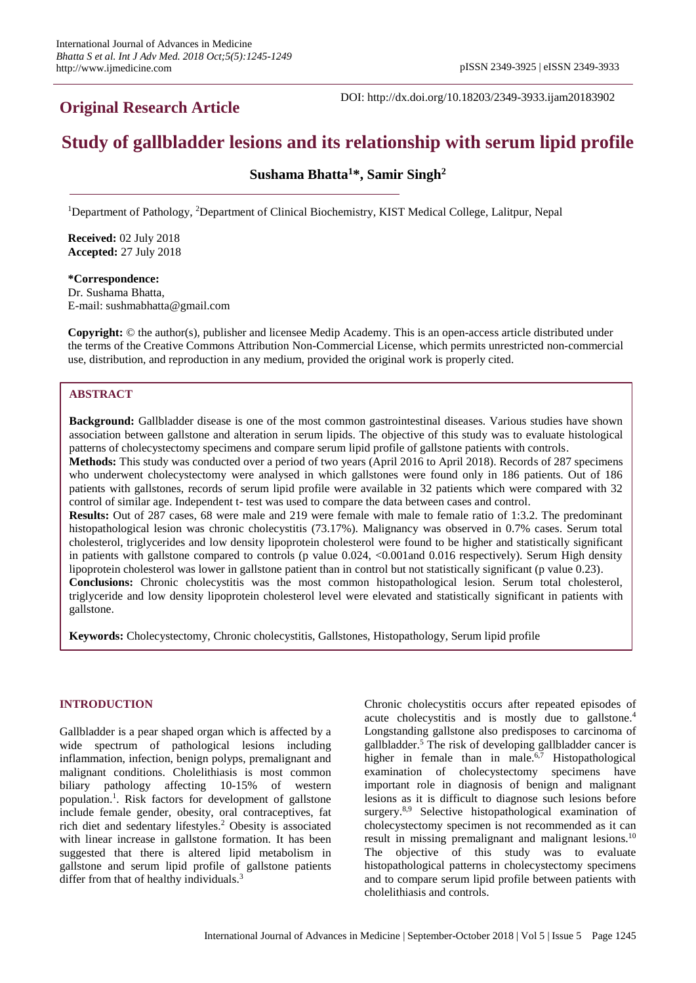## **Original Research Article**

DOI: http://dx.doi.org/10.18203/2349-3933.ijam20183902

# **Study of gallbladder lesions and its relationship with serum lipid profile**

**Sushama Bhatta<sup>1</sup>\*, Samir Singh<sup>2</sup>**

<sup>1</sup>Department of Pathology, <sup>2</sup>Department of Clinical Biochemistry, KIST Medical College, Lalitpur, Nepal

**Received:** 02 July 2018 **Accepted:** 27 July 2018

**\*Correspondence:** Dr. Sushama Bhatta, E-mail: sushmabhatta@gmail.com

**Copyright:** © the author(s), publisher and licensee Medip Academy. This is an open-access article distributed under the terms of the Creative Commons Attribution Non-Commercial License, which permits unrestricted non-commercial use, distribution, and reproduction in any medium, provided the original work is properly cited.

### **ABSTRACT**

**Background:** Gallbladder disease is one of the most common gastrointestinal diseases. Various studies have shown association between gallstone and alteration in serum lipids. The objective of this study was to evaluate histological patterns of cholecystectomy specimens and compare serum lipid profile of gallstone patients with controls. **Methods:** This study was conducted over a period of two years (April 2016 to April 2018). Records of 287 specimens who underwent cholecystectomy were analysed in which gallstones were found only in 186 patients. Out of 186 patients with gallstones, records of serum lipid profile were available in 32 patients which were compared with 32 control of similar age. Independent t- test was used to compare the data between cases and control. **Results:** Out of 287 cases, 68 were male and 219 were female with male to female ratio of 1:3.2. The predominant histopathological lesion was chronic cholecystitis (73.17%). Malignancy was observed in 0.7% cases. Serum total cholesterol, triglycerides and low density lipoprotein cholesterol were found to be higher and statistically significant in patients with gallstone compared to controls (p value 0.024, <0.001and 0.016 respectively). Serum High density lipoprotein cholesterol was lower in gallstone patient than in control but not statistically significant (p value 0.23). **Conclusions:** Chronic cholecystitis was the most common histopathological lesion. Serum total cholesterol, triglyceride and low density lipoprotein cholesterol level were elevated and statistically significant in patients with

gallstone.

**Keywords:** Cholecystectomy, Chronic cholecystitis, Gallstones, Histopathology, Serum lipid profile

#### **INTRODUCTION**

Gallbladder is a pear shaped organ which is affected by a wide spectrum of pathological lesions including inflammation, infection, benign polyps, premalignant and malignant conditions. Cholelithiasis is most common biliary pathology affecting 10-15% of western population. 1 . Risk factors for development of gallstone include female gender, obesity, oral contraceptives, fat rich diet and sedentary lifestyles. <sup>2</sup> Obesity is associated with linear increase in gallstone formation. It has been suggested that there is altered lipid metabolism in gallstone and serum lipid profile of gallstone patients differ from that of healthy individuals.<sup>3</sup>

Chronic cholecystitis occurs after repeated episodes of acute cholecystitis and is mostly due to gallstone. 4 Longstanding gallstone also predisposes to carcinoma of gallbladder. <sup>5</sup> The risk of developing gallbladder cancer is higher in female than in male.<sup>6,7</sup> Histopathological examination of cholecystectomy specimens have important role in diagnosis of benign and malignant lesions as it is difficult to diagnose such lesions before surgery.<sup>8,9</sup> Selective histopathological examination of cholecystectomy specimen is not recommended as it can result in missing premalignant and malignant lesions.<sup>10</sup> The objective of this study was to evaluate histopathological patterns in cholecystectomy specimens and to compare serum lipid profile between patients with cholelithiasis and controls.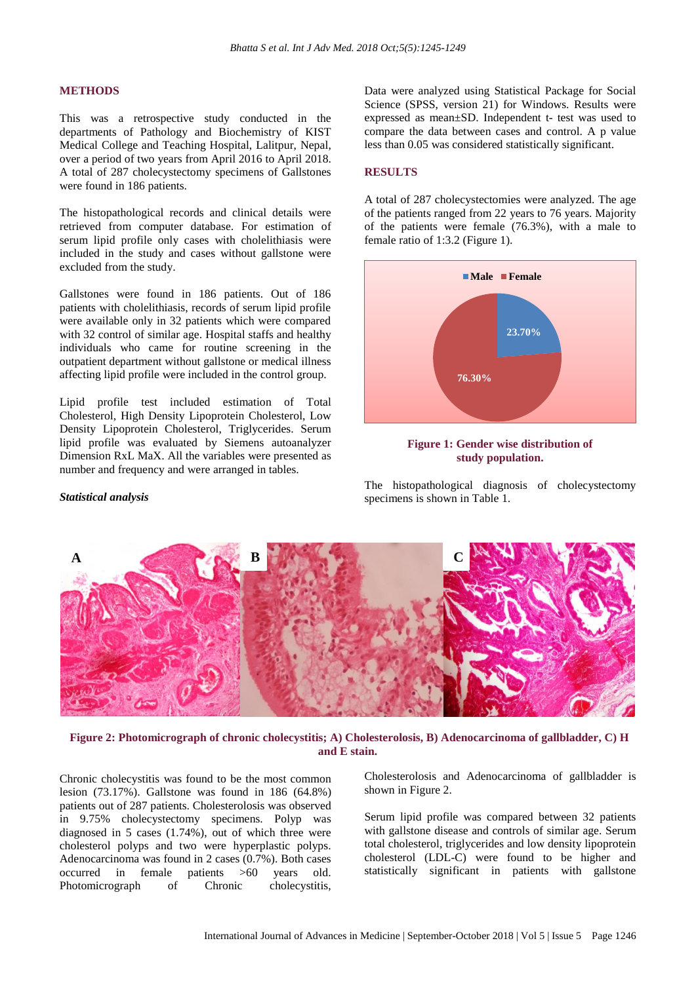#### **METHODS**

This was a retrospective study conducted in the departments of Pathology and Biochemistry of KIST Medical College and Teaching Hospital, Lalitpur, Nepal, over a period of two years from April 2016 to April 2018. A total of 287 cholecystectomy specimens of Gallstones were found in 186 patients.

The histopathological records and clinical details were retrieved from computer database. For estimation of serum lipid profile only cases with cholelithiasis were included in the study and cases without gallstone were excluded from the study.

Gallstones were found in 186 patients. Out of 186 patients with cholelithiasis, records of serum lipid profile were available only in 32 patients which were compared with 32 control of similar age. Hospital staffs and healthy individuals who came for routine screening in the outpatient department without gallstone or medical illness affecting lipid profile were included in the control group.

Lipid profile test included estimation of Total Cholesterol, High Density Lipoprotein Cholesterol, Low Density Lipoprotein Cholesterol, Triglycerides. Serum lipid profile was evaluated by Siemens autoanalyzer Dimension RxL MaX. All the variables were presented as number and frequency and were arranged in tables.

#### *Statistical analysis*

Data were analyzed using Statistical Package for Social Science (SPSS, version 21) for Windows. Results were expressed as mean±SD. Independent t- test was used to compare the data between cases and control. A p value less than 0.05 was considered statistically significant.

#### **RESULTS**

A total of 287 cholecystectomies were analyzed. The age of the patients ranged from 22 years to 76 years. Majority of the patients were female (76.3%), with a male to female ratio of 1:3.2 (Figure 1).





The histopathological diagnosis of cholecystectomy specimens is shown in Table 1.



**Figure 2: Photomicrograph of chronic cholecystitis; A) Cholesterolosis, B) Adenocarcinoma of gallbladder, C) H and E stain.**

Chronic cholecystitis was found to be the most common lesion (73.17%). Gallstone was found in 186 (64.8%) patients out of 287 patients. Cholesterolosis was observed in 9.75% cholecystectomy specimens. Polyp was diagnosed in 5 cases (1.74%), out of which three were cholesterol polyps and two were hyperplastic polyps. Adenocarcinoma was found in 2 cases (0.7%). Both cases occurred in female patients >60 years old. Photomicrograph of Chronic cholecystitis,

Cholesterolosis and Adenocarcinoma of gallbladder is shown in Figure 2.

Serum lipid profile was compared between 32 patients with gallstone disease and controls of similar age. Serum total cholesterol, triglycerides and low density lipoprotein cholesterol (LDL-C) were found to be higher and statistically significant in patients with gallstone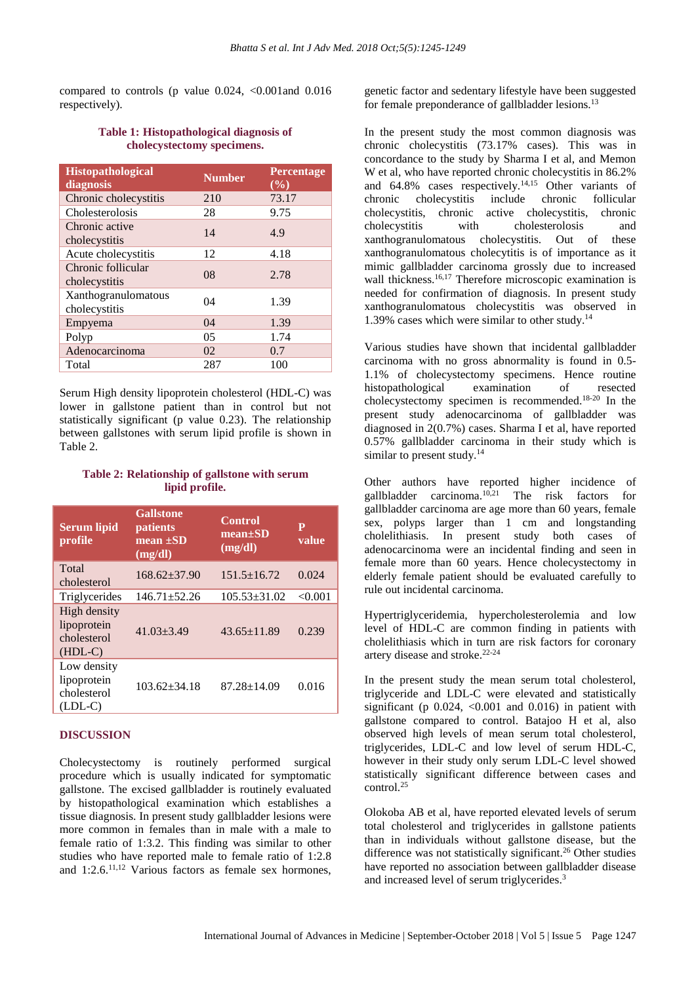compared to controls (p value  $0.024$ ,  $\leq 0.001$  and  $0.016$ respectively).

#### **Table 1: Histopathological diagnosis of cholecystectomy specimens.**

| <b>Histopathological</b><br>diagnosis | <b>Number</b> | <b>Percentage</b><br>(%) |
|---------------------------------------|---------------|--------------------------|
| Chronic cholecystitis                 | 210           | 73.17                    |
| Cholesterolosis                       | 28            | 9.75                     |
| Chronic active<br>cholecystitis       | 14            | 4.9                      |
| Acute cholecystitis                   | 12            | 4.18                     |
| Chronic follicular<br>cholecystitis   | 08            | 2.78                     |
| Xanthogranulomatous<br>cholecystitis  | 04            | 1.39                     |
| Empyema                               | 04            | 1.39                     |
| Polyp                                 | 05            | 1.74                     |
| Adenocarcinoma                        | 02            | 0.7                      |
| Total                                 | 287           | 100                      |

Serum High density lipoprotein cholesterol (HDL-C) was lower in gallstone patient than in control but not statistically significant (p value 0.23). The relationship between gallstones with serum lipid profile is shown in Table 2.

#### **Table 2: Relationship of gallstone with serum lipid profile.**

| <b>Serum lipid</b><br>profile                           | <b>Gallstone</b><br><i>patients</i><br>mean $\pm SD$ | <b>Control</b><br>$mean \pm SD$<br>(mg/dl) | $\mathbf{P}$<br>value |
|---------------------------------------------------------|------------------------------------------------------|--------------------------------------------|-----------------------|
| Total<br>cholesterol                                    | (mg/dl)<br>$168.62 + 37.90$                          | $151.5 \pm 16.72$                          | 0.024                 |
| Triglycerides                                           | $146.71 \pm 52.26$                                   | $105.53 \pm 31.02$                         | < 0.001               |
| High density<br>lipoprotein<br>cholesterol<br>$(HDL-C)$ | $41.03 + 3.49$                                       | $43.65 \pm 11.89$                          | 0.239                 |
| Low density<br>lipoprotein<br>cholesterol<br>$(LDL-C)$  | $103.62 + 34.18$                                     | $87.28 \pm 14.09$                          | 0.016                 |

#### **DISCUSSION**

Cholecystectomy is routinely performed surgical procedure which is usually indicated for symptomatic gallstone. The excised gallbladder is routinely evaluated by histopathological examination which establishes a tissue diagnosis. In present study gallbladder lesions were more common in females than in male with a male to female ratio of 1:3.2. This finding was similar to other studies who have reported male to female ratio of 1:2.8 and  $1:2.6$ .<sup>11,12</sup> Various factors as female sex hormones,

genetic factor and sedentary lifestyle have been suggested for female preponderance of gallbladder lesions.<sup>13</sup>

In the present study the most common diagnosis was chronic cholecystitis (73.17% cases). This was in concordance to the study by Sharma I et al, and Memon W et al, who have reported chronic cholecystitis in 86.2% and  $64.8\%$  cases respectively.<sup>14,15</sup> Other variants of chronic cholecystitis include chronic follicular cholecystitis, chronic active cholecystitis, chronic cholecystitis with cholesterolosis and xanthogranulomatous cholecystitis. Out of these xanthogranulomatous cholecytitis is of importance as it mimic gallbladder carcinoma grossly due to increased wall thickness. 16,17 Therefore microscopic examination is needed for confirmation of diagnosis. In present study xanthogranulomatous cholecystitis was observed in 1.39% cases which were similar to other study. 14

Various studies have shown that incidental gallbladder carcinoma with no gross abnormality is found in 0.5- 1.1% of cholecystectomy specimens. Hence routine<br>histopathological examination of resected histopathological examination of resected cholecystectomy specimen is recommended. 18-20 In the present study adenocarcinoma of gallbladder was diagnosed in 2(0.7%) cases. Sharma I et al, have reported 0.57% gallbladder carcinoma in their study which is similar to present study. $14$ 

Other authors have reported higher incidence of gallbladder carcinoma. 10,21 The risk factors for gallbladder carcinoma are age more than 60 years, female sex, polyps larger than 1 cm and longstanding cholelithiasis. In present study both cases of adenocarcinoma were an incidental finding and seen in female more than 60 years. Hence cholecystectomy in elderly female patient should be evaluated carefully to rule out incidental carcinoma.

Hypertriglyceridemia, hypercholesterolemia and low level of HDL-C are common finding in patients with cholelithiasis which in turn are risk factors for coronary artery disease and stroke. 22-24

In the present study the mean serum total cholesterol, triglyceride and LDL-C were elevated and statistically significant (p  $0.024$ ,  $0.001$  and  $0.016$ ) in patient with gallstone compared to control. Batajoo H et al, also observed high levels of mean serum total cholesterol, triglycerides, LDL-C and low level of serum HDL-C, however in their study only serum LDL-C level showed statistically significant difference between cases and control.<sup>25</sup>

Olokoba AB et al, have reported elevated levels of serum total cholesterol and triglycerides in gallstone patients than in individuals without gallstone disease, but the difference was not statistically significant.<sup>26</sup> Other studies have reported no association between gallbladder disease and increased level of serum triglycerides. 3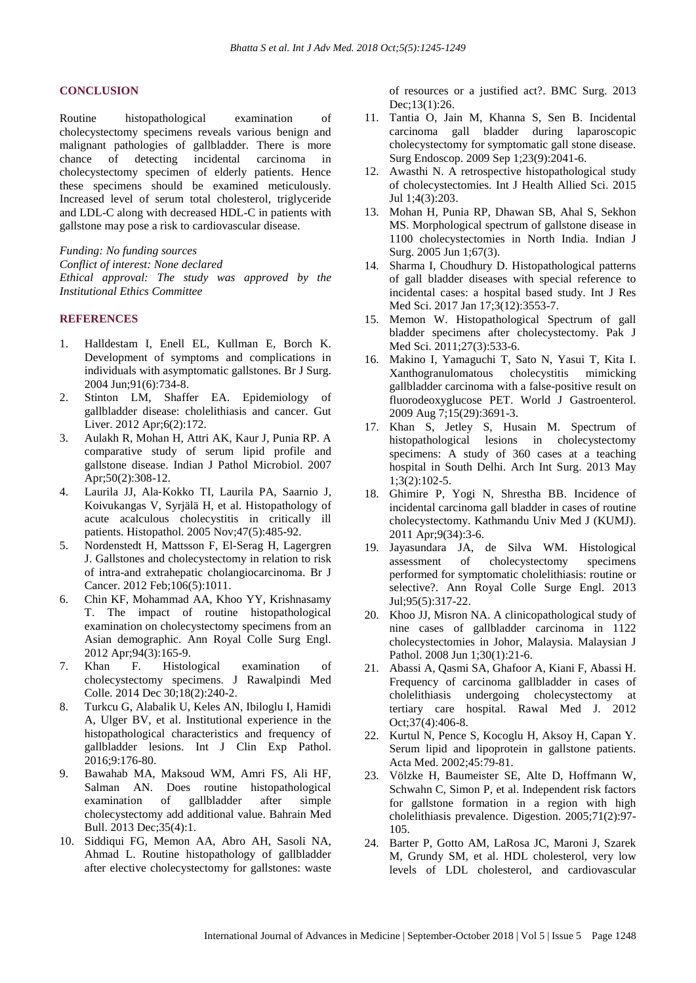#### **CONCLUSION**

Routine histopathological examination of cholecystectomy specimens reveals various benign and malignant pathologies of gallbladder. There is more chance of detecting incidental carcinoma in cholecystectomy specimen of elderly patients. Hence these specimens should be examined meticulously. Increased level of serum total cholesterol, triglyceride and LDL-C along with decreased HDL-C in patients with gallstone may pose a risk to cardiovascular disease.

*Funding: No funding sources*

*Conflict of interest: None declared Ethical approval: The study was approved by the Institutional Ethics Committee*

#### **REFERENCES**

- 1. Halldestam I, Enell EL, Kullman E, Borch K. Development of symptoms and complications in individuals with asymptomatic gallstones. Br J Surg. 2004 Jun;91(6):734-8.
- 2. Stinton LM, Shaffer EA. Epidemiology of gallbladder disease: cholelithiasis and cancer. Gut Liver. 2012 Apr;6(2):172.
- 3. Aulakh R, Mohan H, Attri AK, Kaur J, Punia RP. A comparative study of serum lipid profile and gallstone disease. Indian J Pathol Microbiol. 2007 Apr;50(2):308-12.
- 4. Laurila JJ, Ala‐Kokko TI, Laurila PA, Saarnio J, Koivukangas V, Syrjälä H, et al. Histopathology of acute acalculous cholecystitis in critically ill patients. Histopathol. 2005 Nov;47(5):485-92.
- 5. Nordenstedt H, Mattsson F, El-Serag H, Lagergren J. Gallstones and cholecystectomy in relation to risk of intra-and extrahepatic cholangiocarcinoma. Br J Cancer. 2012 Feb;106(5):1011.
- 6. Chin KF, Mohammad AA, Khoo YY, Krishnasamy T. The impact of routine histopathological examination on cholecystectomy specimens from an Asian demographic. Ann Royal Colle Surg Engl. 2012 Apr;94(3):165-9.
- 7. Khan F. Histological examination of cholecystectomy specimens. J Rawalpindi Med Colle. 2014 Dec 30;18(2):240-2.
- 8. Turkcu G, Alabalik U, Keles AN, Ibiloglu I, Hamidi A, Ulger BV, et al. Institutional experience in the histopathological characteristics and frequency of gallbladder lesions. Int J Clin Exp Pathol. 2016;9:176-80.
- 9. Bawahab MA, Maksoud WM, Amri FS, Ali HF, Salman AN. Does routine histopathological<br>examination of gallbladder after simple examination of gallbladder after simple cholecystectomy add additional value. Bahrain Med Bull. 2013 Dec;35(4):1.
- 10. Siddiqui FG, Memon AA, Abro AH, Sasoli NA, Ahmad L. Routine histopathology of gallbladder after elective cholecystectomy for gallstones: waste

of resources or a justified act?. BMC Surg. 2013 Dec;13(1):26.

- 11. Tantia O, Jain M, Khanna S, Sen B. Incidental carcinoma gall bladder during laparoscopic cholecystectomy for symptomatic gall stone disease. Surg Endoscop. 2009 Sep 1;23(9):2041-6.
- 12. Awasthi N. A retrospective histopathological study of cholecystectomies. Int J Health Allied Sci. 2015 Jul 1;4(3):203.
- 13. Mohan H, Punia RP, Dhawan SB, Ahal S, Sekhon MS. Morphological spectrum of gallstone disease in 1100 cholecystectomies in North India. Indian J Surg. 2005 Jun 1;67(3).
- 14. Sharma I, Choudhury D. Histopathological patterns of gall bladder diseases with special reference to incidental cases: a hospital based study. Int J Res Med Sci. 2017 Jan 17;3(12):3553-7.
- 15. Memon W. Histopathological Spectrum of gall bladder specimens after cholecystectomy. Pak J Med Sci. 2011;27(3):533-6.
- 16. Makino I, Yamaguchi T, Sato N, Yasui T, Kita I. Xanthogranulomatous cholecystitis mimicking gallbladder carcinoma with a false-positive result on fluorodeoxyglucose PET. World J Gastroenterol. 2009 Aug 7;15(29):3691-3.
- 17. Khan S, Jetley S, Husain M. Spectrum of histopathological lesions in cholecystectomy specimens: A study of 360 cases at a teaching hospital in South Delhi. Arch Int Surg. 2013 May 1;3(2):102-5.
- 18. Ghimire P, Yogi N, Shrestha BB. Incidence of incidental carcinoma gall bladder in cases of routine cholecystectomy. Kathmandu Univ Med J (KUMJ). 2011 Apr;9(34):3-6.
- 19. Jayasundara JA, de Silva WM. Histological assessment of cholecystectomy specimens performed for symptomatic cholelithiasis: routine or selective?. Ann Royal Colle Surge Engl. 2013 Jul;95(5):317-22.
- 20. Khoo JJ, Misron NA. A clinicopathological study of nine cases of gallbladder carcinoma in 1122 cholecystectomies in Johor, Malaysia. Malaysian J Pathol. 2008 Jun 1;30(1):21-6.
- 21. Abassi A, Qasmi SA, Ghafoor A, Kiani F, Abassi H. Frequency of carcinoma gallbladder in cases of cholelithiasis undergoing cholecystectomy at tertiary care hospital. Rawal Med J. 2012 Oct;37(4):406-8.
- 22. Kurtul N, Pence S, Kocoglu H, Aksoy H, Capan Y. Serum lipid and lipoprotein in gallstone patients. Acta Med. 2002;45:79-81.
- 23. Völzke H, Baumeister SE, Alte D, Hoffmann W, Schwahn C, Simon P, et al. Independent risk factors for gallstone formation in a region with high cholelithiasis prevalence. Digestion. 2005;71(2):97- 105.
- 24. Barter P, Gotto AM, LaRosa JC, Maroni J, Szarek M, Grundy SM, et al. HDL cholesterol, very low levels of LDL cholesterol, and cardiovascular